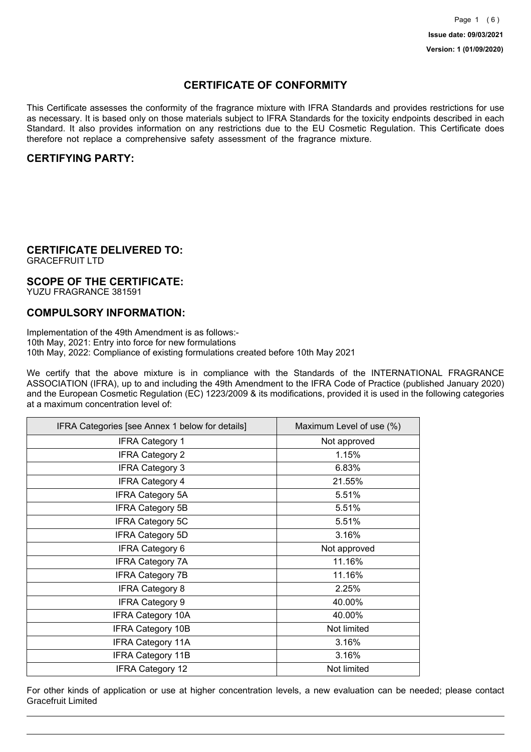## **CERTIFICATE OF CONFORMITY**

This Certificate assesses the conformity of the fragrance mixture with IFRA Standards and provides restrictions for use as necessary. It is based only on those materials subject to IFRA Standards for the toxicity endpoints described in each Standard. It also provides information on any restrictions due to the EU Cosmetic Regulation. This Certificate does therefore not replace a comprehensive safety assessment of the fragrance mixture.

## **CERTIFYING PARTY:**

## **CERTIFICATE DELIVERED TO:**

GRACEFRUIT LTD

### **SCOPE OF THE CERTIFICATE:**

YUZU FRAGRANCE 381591

### **COMPULSORY INFORMATION:**

Implementation of the 49th Amendment is as follows:- 10th May, 2021: Entry into force for new formulations 10th May, 2022: Compliance of existing formulations created before 10th May 2021

We certify that the above mixture is in compliance with the Standards of the INTERNATIONAL FRAGRANCE ASSOCIATION (IFRA), up to and including the 49th Amendment to the IFRA Code of Practice (published January 2020) and the European Cosmetic Regulation (EC) 1223/2009 & its modifications, provided it is used in the following categories at a maximum concentration level of:

| IFRA Categories [see Annex 1 below for details] | Maximum Level of use (%) |
|-------------------------------------------------|--------------------------|
| <b>IFRA Category 1</b>                          | Not approved             |
| <b>IFRA Category 2</b>                          | 1.15%                    |
| <b>IFRA Category 3</b>                          | 6.83%                    |
| <b>IFRA Category 4</b>                          | 21.55%                   |
| <b>IFRA Category 5A</b>                         | 5.51%                    |
| <b>IFRA Category 5B</b>                         | 5.51%                    |
| <b>IFRA Category 5C</b>                         | 5.51%                    |
| <b>IFRA Category 5D</b>                         | 3.16%                    |
| <b>IFRA Category 6</b>                          | Not approved             |
| <b>IFRA Category 7A</b>                         | 11.16%                   |
| <b>IFRA Category 7B</b>                         | 11.16%                   |
| <b>IFRA Category 8</b>                          | 2.25%                    |
| <b>IFRA Category 9</b>                          | 40.00%                   |
| <b>IFRA Category 10A</b>                        | 40.00%                   |
| <b>IFRA Category 10B</b>                        | Not limited              |
| <b>IFRA Category 11A</b>                        | 3.16%                    |
| <b>IFRA Category 11B</b>                        | 3.16%                    |
| <b>IFRA Category 12</b>                         | Not limited              |

For other kinds of application or use at higher concentration levels, a new evaluation can be needed; please contact Gracefruit Limited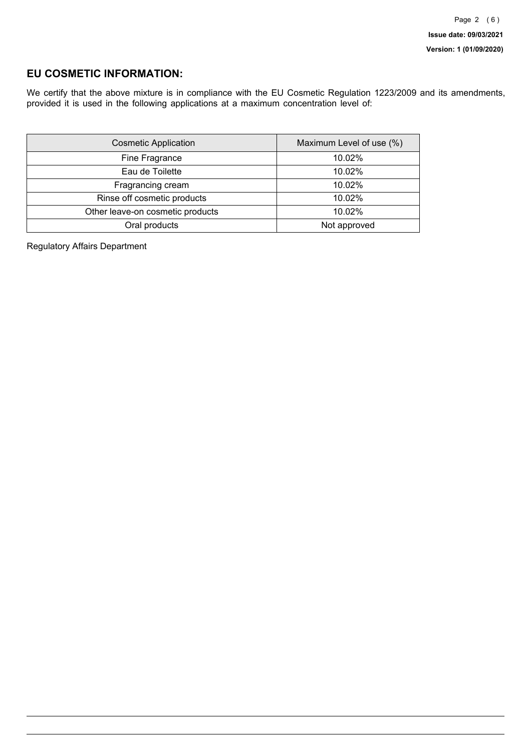## **EU COSMETIC INFORMATION:**

We certify that the above mixture is in compliance with the EU Cosmetic Regulation 1223/2009 and its amendments, provided it is used in the following applications at a maximum concentration level of:

| <b>Cosmetic Application</b>      | Maximum Level of use (%) |
|----------------------------------|--------------------------|
| Fine Fragrance                   | 10.02%                   |
| Eau de Toilette                  | 10.02%                   |
| Fragrancing cream                | 10.02%                   |
| Rinse off cosmetic products      | 10.02%                   |
| Other leave-on cosmetic products | 10.02%                   |
| Oral products                    | Not approved             |

Regulatory Affairs Department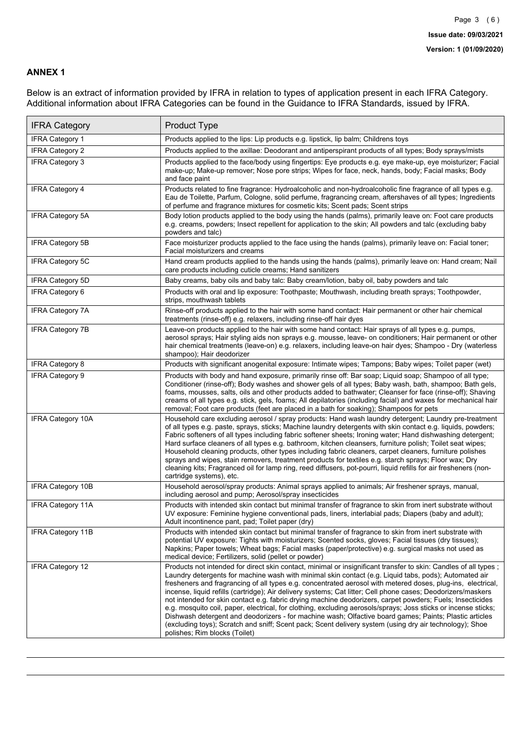#### **ANNEX 1**

Below is an extract of information provided by IFRA in relation to types of application present in each IFRA Category. Additional information about IFRA Categories can be found in the Guidance to IFRA Standards, issued by IFRA.

| <b>IFRA Category</b>     | Product Type                                                                                                                                                                                                                                                                                                                                                                                                                                                                                                                                                                                                                                                                                                                                                                                                                                                                                                                                 |
|--------------------------|----------------------------------------------------------------------------------------------------------------------------------------------------------------------------------------------------------------------------------------------------------------------------------------------------------------------------------------------------------------------------------------------------------------------------------------------------------------------------------------------------------------------------------------------------------------------------------------------------------------------------------------------------------------------------------------------------------------------------------------------------------------------------------------------------------------------------------------------------------------------------------------------------------------------------------------------|
| <b>IFRA Category 1</b>   | Products applied to the lips: Lip products e.g. lipstick, lip balm; Childrens toys                                                                                                                                                                                                                                                                                                                                                                                                                                                                                                                                                                                                                                                                                                                                                                                                                                                           |
| <b>IFRA Category 2</b>   | Products applied to the axillae: Deodorant and antiperspirant products of all types; Body sprays/mists                                                                                                                                                                                                                                                                                                                                                                                                                                                                                                                                                                                                                                                                                                                                                                                                                                       |
| <b>IFRA Category 3</b>   | Products applied to the face/body using fingertips: Eye products e.g. eye make-up, eye moisturizer; Facial<br>make-up; Make-up remover; Nose pore strips; Wipes for face, neck, hands, body; Facial masks; Body<br>and face paint                                                                                                                                                                                                                                                                                                                                                                                                                                                                                                                                                                                                                                                                                                            |
| <b>IFRA Category 4</b>   | Products related to fine fragrance: Hydroalcoholic and non-hydroalcoholic fine fragrance of all types e.g.<br>Eau de Toilette, Parfum, Cologne, solid perfume, fragrancing cream, aftershaves of all types; Ingredients<br>of perfume and fragrance mixtures for cosmetic kits; Scent pads; Scent strips                                                                                                                                                                                                                                                                                                                                                                                                                                                                                                                                                                                                                                     |
| IFRA Category 5A         | Body lotion products applied to the body using the hands (palms), primarily leave on: Foot care products<br>e.g. creams, powders; Insect repellent for application to the skin; All powders and talc (excluding baby<br>powders and talc)                                                                                                                                                                                                                                                                                                                                                                                                                                                                                                                                                                                                                                                                                                    |
| <b>IFRA Category 5B</b>  | Face moisturizer products applied to the face using the hands (palms), primarily leave on: Facial toner;<br>Facial moisturizers and creams                                                                                                                                                                                                                                                                                                                                                                                                                                                                                                                                                                                                                                                                                                                                                                                                   |
| <b>IFRA Category 5C</b>  | Hand cream products applied to the hands using the hands (palms), primarily leave on: Hand cream; Nail<br>care products including cuticle creams; Hand sanitizers                                                                                                                                                                                                                                                                                                                                                                                                                                                                                                                                                                                                                                                                                                                                                                            |
| <b>IFRA Category 5D</b>  | Baby creams, baby oils and baby talc: Baby cream/lotion, baby oil, baby powders and talc                                                                                                                                                                                                                                                                                                                                                                                                                                                                                                                                                                                                                                                                                                                                                                                                                                                     |
| IFRA Category 6          | Products with oral and lip exposure: Toothpaste; Mouthwash, including breath sprays; Toothpowder,<br>strips, mouthwash tablets                                                                                                                                                                                                                                                                                                                                                                                                                                                                                                                                                                                                                                                                                                                                                                                                               |
| <b>IFRA Category 7A</b>  | Rinse-off products applied to the hair with some hand contact: Hair permanent or other hair chemical<br>treatments (rinse-off) e.g. relaxers, including rinse-off hair dyes                                                                                                                                                                                                                                                                                                                                                                                                                                                                                                                                                                                                                                                                                                                                                                  |
| <b>IFRA Category 7B</b>  | Leave-on products applied to the hair with some hand contact: Hair sprays of all types e.g. pumps,<br>aerosol sprays; Hair styling aids non sprays e.g. mousse, leave- on conditioners; Hair permanent or other<br>hair chemical treatments (leave-on) e.g. relaxers, including leave-on hair dyes; Shampoo - Dry (waterless<br>shampoo); Hair deodorizer                                                                                                                                                                                                                                                                                                                                                                                                                                                                                                                                                                                    |
| <b>IFRA Category 8</b>   | Products with significant anogenital exposure: Intimate wipes; Tampons; Baby wipes; Toilet paper (wet)                                                                                                                                                                                                                                                                                                                                                                                                                                                                                                                                                                                                                                                                                                                                                                                                                                       |
| IFRA Category 9          | Products with body and hand exposure, primarily rinse off: Bar soap; Liquid soap; Shampoo of all type;<br>Conditioner (rinse-off); Body washes and shower gels of all types; Baby wash, bath, shampoo; Bath gels,<br>foams, mousses, salts, oils and other products added to bathwater; Cleanser for face (rinse-off); Shaving<br>creams of all types e.g. stick, gels, foams; All depilatories (including facial) and waxes for mechanical hair<br>removal; Foot care products (feet are placed in a bath for soaking); Shampoos for pets                                                                                                                                                                                                                                                                                                                                                                                                   |
| <b>IFRA Category 10A</b> | Household care excluding aerosol / spray products: Hand wash laundry detergent; Laundry pre-treatment<br>of all types e.g. paste, sprays, sticks; Machine laundry detergents with skin contact e.g. liquids, powders;<br>Fabric softeners of all types including fabric softener sheets; Ironing water; Hand dishwashing detergent;<br>Hard surface cleaners of all types e.g. bathroom, kitchen cleansers, furniture polish; Toilet seat wipes;<br>Household cleaning products, other types including fabric cleaners, carpet cleaners, furniture polishes<br>sprays and wipes, stain removers, treatment products for textiles e.g. starch sprays; Floor wax; Dry<br>cleaning kits; Fragranced oil for lamp ring, reed diffusers, pot-pourri, liquid refills for air fresheners (non-<br>cartridge systems), etc.                                                                                                                          |
| <b>IFRA Category 10B</b> | Household aerosol/spray products: Animal sprays applied to animals; Air freshener sprays, manual,<br>including aerosol and pump; Aerosol/spray insecticides                                                                                                                                                                                                                                                                                                                                                                                                                                                                                                                                                                                                                                                                                                                                                                                  |
| <b>IFRA Category 11A</b> | Products with intended skin contact but minimal transfer of fragrance to skin from inert substrate without<br>UV exposure: Feminine hygiene conventional pads, liners, interlabial pads; Diapers (baby and adult);<br>Adult incontinence pant, pad; Toilet paper (dry)                                                                                                                                                                                                                                                                                                                                                                                                                                                                                                                                                                                                                                                                       |
| <b>IFRA Category 11B</b> | Products with intended skin contact but minimal transfer of fragrance to skin from inert substrate with<br>potential UV exposure: Tights with moisturizers; Scented socks, gloves; Facial tissues (dry tissues);<br>Napkins: Paper towels: Wheat bags: Facial masks (paper/protective) e.g. surgical masks not used as<br>medical device; Fertilizers, solid (pellet or powder)                                                                                                                                                                                                                                                                                                                                                                                                                                                                                                                                                              |
| <b>IFRA Category 12</b>  | Products not intended for direct skin contact, minimal or insignificant transfer to skin: Candles of all types;<br>Laundry detergents for machine wash with minimal skin contact (e.g. Liquid tabs, pods); Automated air<br>fresheners and fragrancing of all types e.g. concentrated aerosol with metered doses, plug-ins, electrical,<br>incense, liquid refills (cartridge); Air delivery systems; Cat litter; Cell phone cases; Deodorizers/maskers<br>not intended for skin contact e.g. fabric drying machine deodorizers, carpet powders; Fuels; Insecticides<br>e.g. mosquito coil, paper, electrical, for clothing, excluding aerosols/sprays; Joss sticks or incense sticks;<br>Dishwash detergent and deodorizers - for machine wash; Olfactive board games; Paints; Plastic articles<br>(excluding toys); Scratch and sniff; Scent pack; Scent delivery system (using dry air technology); Shoe<br>polishes; Rim blocks (Toilet) |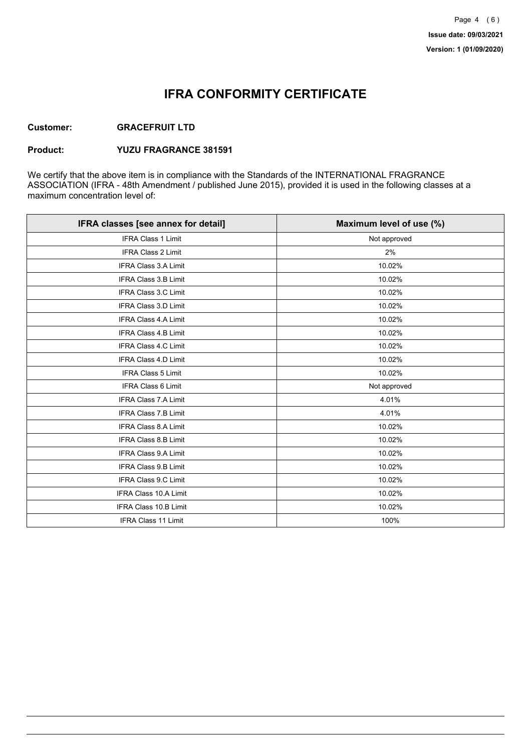## **IFRA CONFORMITY CERTIFICATE**

#### **Customer: GRACEFRUIT LTD**

### **Product: YUZU FRAGRANCE 381591**

We certify that the above item is in compliance with the Standards of the INTERNATIONAL FRAGRANCE ASSOCIATION (IFRA - 48th Amendment / published June 2015), provided it is used in the following classes at a maximum concentration level of:

| IFRA classes [see annex for detail] | Maximum level of use (%) |
|-------------------------------------|--------------------------|
| <b>IFRA Class 1 Limit</b>           | Not approved             |
| <b>IFRA Class 2 Limit</b>           | 2%                       |
| <b>IFRA Class 3.A Limit</b>         | 10.02%                   |
| <b>IFRA Class 3.B Limit</b>         | 10.02%                   |
| <b>IFRA Class 3.C Limit</b>         | 10.02%                   |
| IFRA Class 3.D Limit                | 10.02%                   |
| <b>IFRA Class 4.A Limit</b>         | 10.02%                   |
| <b>IFRA Class 4.B Limit</b>         | 10.02%                   |
| <b>IFRA Class 4.C Limit</b>         | 10.02%                   |
| <b>IFRA Class 4.D Limit</b>         | 10.02%                   |
| <b>IFRA Class 5 Limit</b>           | 10.02%                   |
| <b>IFRA Class 6 Limit</b>           | Not approved             |
| <b>IFRA Class 7.A Limit</b>         | 4.01%                    |
| <b>IFRA Class 7.B Limit</b>         | 4.01%                    |
| <b>IFRA Class 8.A Limit</b>         | 10.02%                   |
| <b>IFRA Class 8.B Limit</b>         | 10.02%                   |
| IFRA Class 9.A Limit                | 10.02%                   |
| IFRA Class 9.B Limit                | 10.02%                   |
| <b>IFRA Class 9.C Limit</b>         | 10.02%                   |
| <b>IFRA Class 10.A Limit</b>        | 10.02%                   |
| IFRA Class 10.B Limit               | 10.02%                   |
| <b>IFRA Class 11 Limit</b>          | 100%                     |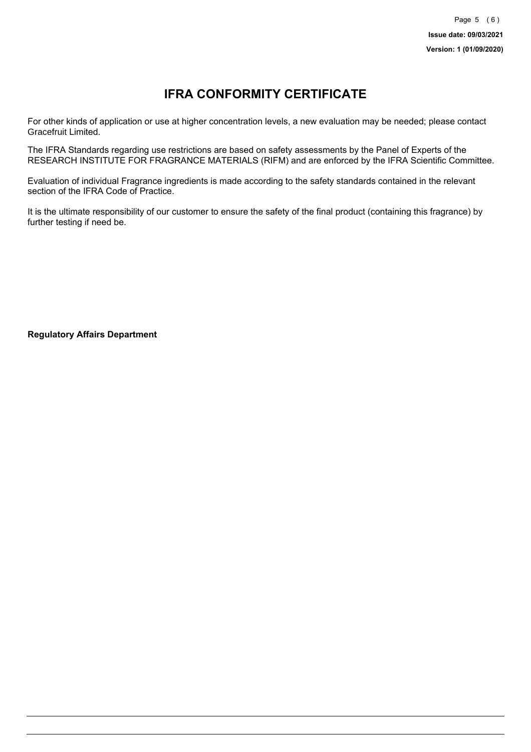# **IFRA CONFORMITY CERTIFICATE**

For other kinds of application or use at higher concentration levels, a new evaluation may be needed; please contact Gracefruit Limited.

The IFRA Standards regarding use restrictions are based on safety assessments by the Panel of Experts of the RESEARCH INSTITUTE FOR FRAGRANCE MATERIALS (RIFM) and are enforced by the IFRA Scientific Committee.

Evaluation of individual Fragrance ingredients is made according to the safety standards contained in the relevant section of the IFRA Code of Practice.

It is the ultimate responsibility of our customer to ensure the safety of the final product (containing this fragrance) by further testing if need be.

**Regulatory Affairs Department**